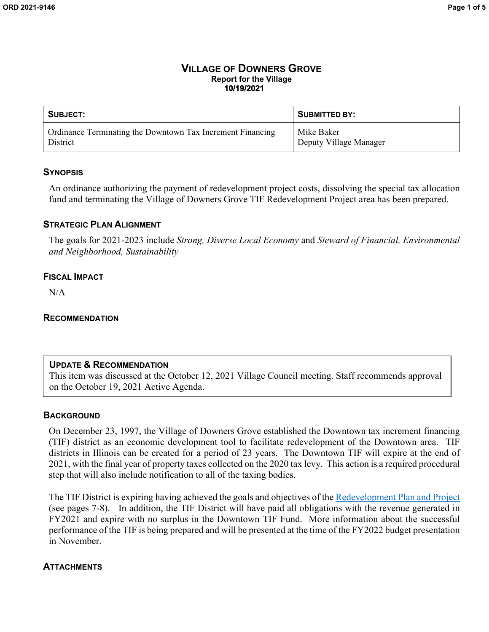#### **VILLAGE OF DOWNERS GROVE Report for the Village 10/19/2021**

| SUBJECT:                                                   | <b>SUBMITTED BY:</b>   |
|------------------------------------------------------------|------------------------|
| Ordinance Terminating the Downtown Tax Increment Financing | Mike Baker             |
| District                                                   | Deputy Village Manager |

#### **SYNOPSIS**

An ordinance authorizing the payment of redevelopment project costs, dissolving the special tax allocation fund and terminating the Village of Downers Grove TIF Redevelopment Project area has been prepared.

### **STRATEGIC PLAN ALIGNMENT**

The goals for 2021-2023 include *Strong, Diverse Local Economy* and *Steward of Financial, Environmental and Neighborhood, Sustainability*

### **FISCAL IMPACT**

N/A

#### **RECOMMENDATION**

#### **UPDATE & RECOMMENDATION**

This item was discussed at the October 12, 2021 Village Council meeting. Staff recommends approval on the October 19, 2021 Active Agenda.

#### **BACKGROUND**

On December 23, 1997, the Village of Downers Grove established the Downtown tax increment financing (TIF) district as an economic development tool to facilitate redevelopment of the Downtown area. TIF districts in Illinois can be created for a period of 23 years. The Downtown TIF will expire at the end of 2021, with the final year of property taxes collected on the 2020 tax levy. This action is a required procedural step that will also include notification to all of the taxing bodies.

The TIF District is expiring having achieved the goals and objectives of the [Redevelopment Plan and Project](http://www.downers.us/public/docs/board_commission/Downtown%20Development%20Plan%20Project.pdf) (see pages 7-8). In addition, the TIF District will have paid all obligations with the revenue generated in FY2021 and expire with no surplus in the Downtown TIF Fund. More information about the successful performance of the TIF is being prepared and will be presented at the time of the FY2022 budget presentation in November.

#### **ATTACHMENTS**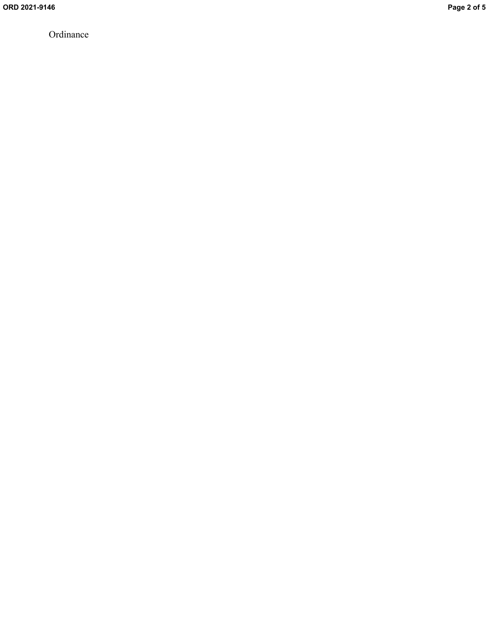Ordinance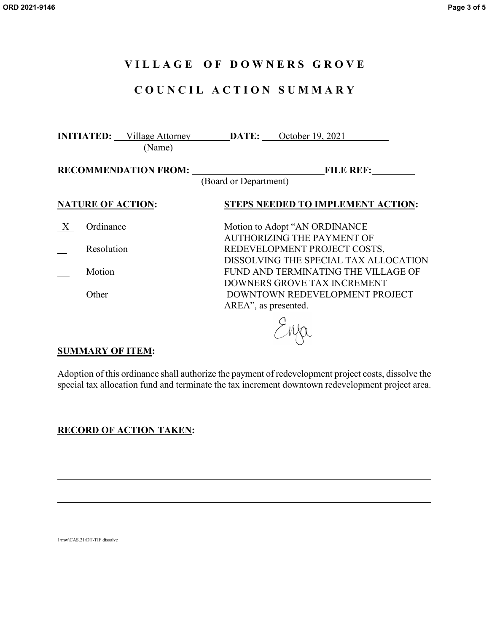## **V I L L A G E O F D O W N E R S G R O V E**

# **C O U N C I L A C T I O N S U M M A R Y**

|                             |                          | <b>INITIATED:</b> Village Attorney<br>(Name) | <b>DATE:</b> October 19, 2021                                         |  |
|-----------------------------|--------------------------|----------------------------------------------|-----------------------------------------------------------------------|--|
| <b>RECOMMENDATION FROM:</b> |                          | <b>FILE REF:</b><br>(Board or Department)    |                                                                       |  |
|                             | <b>NATURE OF ACTION:</b> |                                              | <b>STEPS NEEDED TO IMPLEMENT ACTION:</b>                              |  |
|                             | Ordinance                |                                              | Motion to Adopt "AN ORDINANCE<br>AUTHORIZING THE PAYMENT OF           |  |
|                             | Resolution               |                                              | REDEVELOPMENT PROJECT COSTS,<br>DISSOLVING THE SPECIAL TAX ALLOCATION |  |
|                             | Motion                   |                                              | FUND AND TERMINATING THE VILLAGE OF<br>DOWNERS GROVE TAX INCREMENT    |  |
|                             | Other                    |                                              | DOWNTOWN REDEVELOPMENT PROJECT<br>AREA", as presented.                |  |
|                             |                          |                                              |                                                                       |  |

### **SUMMARY OF ITEM:**

Adoption of this ordinance shall authorize the payment of redevelopment project costs, dissolve the special tax allocation fund and terminate the tax increment downtown redevelopment project area.

## **RECORD OF ACTION TAKEN:**

1\mw\CAS.21\DT-TIF dissolve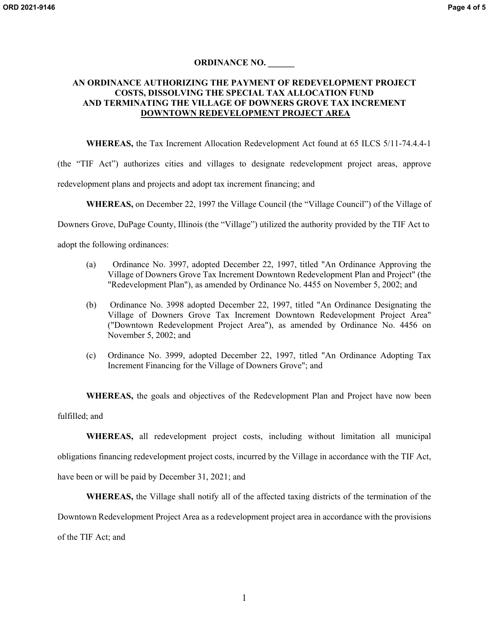#### **ORDINANCE NO. \_\_\_\_\_\_**

#### **AN ORDINANCE AUTHORIZING THE PAYMENT OF REDEVELOPMENT PROJECT COSTS, DISSOLVING THE SPECIAL TAX ALLOCATION FUND AND TERMINATING THE VILLAGE OF DOWNERS GROVE TAX INCREMENT DOWNTOWN REDEVELOPMENT PROJECT AREA**

**WHEREAS,** the Tax Increment Allocation Redevelopment Act found at 65 ILCS 5/11-74.4.4-1

(the "TIF Act") authorizes cities and villages to designate redevelopment project areas, approve redevelopment plans and projects and adopt tax increment financing; and

**WHEREAS,** on December 22, 1997 the Village Council (the "Village Council") of the Village of

Downers Grove, DuPage County, Illinois (the "Village") utilized the authority provided by the TIF Act to

adopt the following ordinances:

- (a) Ordinance No. 3997, adopted December 22, 1997, titled "An Ordinance Approving the Village of Downers Grove Tax Increment Downtown Redevelopment Plan and Project" (the "Redevelopment Plan"), as amended by Ordinance No. 4455 on November 5, 2002; and
- (b) Ordinance No. 3998 adopted December 22, 1997, titled "An Ordinance Designating the Village of Downers Grove Tax Increment Downtown Redevelopment Project Area" ("Downtown Redevelopment Project Area"), as amended by Ordinance No. 4456 on November 5, 2002; and
- (c) Ordinance No. 3999, adopted December 22, 1997, titled "An Ordinance Adopting Tax Increment Financing for the Village of Downers Grove"; and

**WHEREAS,** the goals and objectives of the Redevelopment Plan and Project have now been fulfilled; and

**WHEREAS,** all redevelopment project costs, including without limitation all municipal obligations financing redevelopment project costs, incurred by the Village in accordance with the TIF Act, have been or will be paid by December 31, 2021; and

**WHEREAS,** the Village shall notify all of the affected taxing districts of the termination of the

Downtown Redevelopment Project Area as a redevelopment project area in accordance with the provisions

of the TIF Act; and